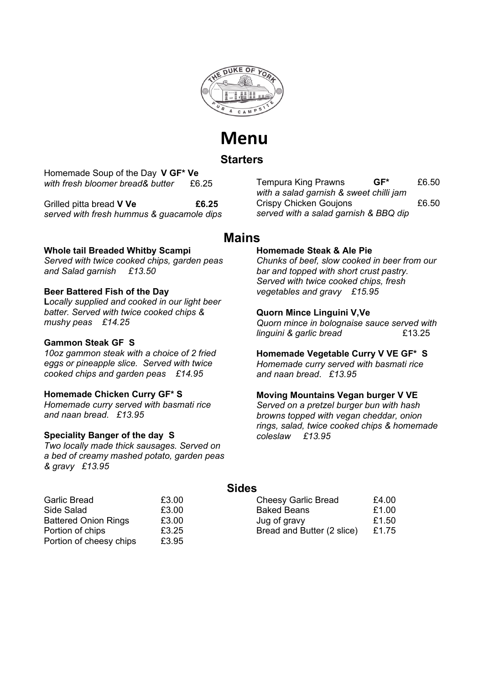

# **Menu**

# **Starters**

Homemade Soup of the Day **V GF\* Ve**  *with fresh bloomer bread& butter* £6.25

Grilled pitta bread **V Ve E6.25** *served with fresh hummus & guacamole dips* 

#### **Whole tail Breaded Whitby Scampi**

*Served with twice cooked chips, garden peas and Salad garnish £13.50*

#### **Beer Battered Fish of the Day**

**L***ocally supplied and cooked in our light beer batter. Served with twice cooked chips & mushy peas £14.25*

#### **Gammon Steak GF S**

*10oz gammon steak with a choice of 2 fried eggs or pineapple slice. Served with twice cooked chips and garden peas £14.95*

#### **Homemade Chicken Curry GF\* S**

*Homemade curry served with basmati rice and naan bread. £13.95*

#### **Speciality Banger of the day S**

*Two locally made thick sausages. Served on a bed of creamy mashed potato, garden peas & gravy £13.95*

| Garlic Bread                | £3.00 |
|-----------------------------|-------|
| Side Salad                  | £3.00 |
| <b>Battered Onion Rings</b> | £3.00 |
| Portion of chips            | £3.25 |
| Portion of cheesy chips     | £3.95 |

Tempura King Prawns **GF\*** £6.50 *with a salad garnish & sweet chilli jam* Crispy Chicken Goujons £6.50 *served with a salad garnish & BBQ dip*

## **Mains**

#### **Homemade Steak & Ale Pie**

*Chunks of beef, slow cooked in beer from our bar and topped with short crust pastry. Served with twice cooked chips, fresh vegetables and gravy £15.95*

#### **Quorn Mince Linguini V,Ve**

*Quorn mince in bolognaise sauce served with linguini & garlic bread* £13.25

#### **Homemade Vegetable Curry V VE GF\* S**

*Homemade curry served with basmati rice and naan bread*. *£13.95*

#### **Moving Mountains Vegan burger V VE**

*Served on a pretzel burger bun with hash browns topped with vegan cheddar, onion rings, salad, twice cooked chips & homemade coleslaw £13.95*

## **Sides**

| <b>Cheesy Garlic Bread</b> | £4.00 |
|----------------------------|-------|
| <b>Baked Beans</b>         | £1.00 |
| Jug of gravy               | £1.50 |
| Bread and Butter (2 slice) | £1.75 |